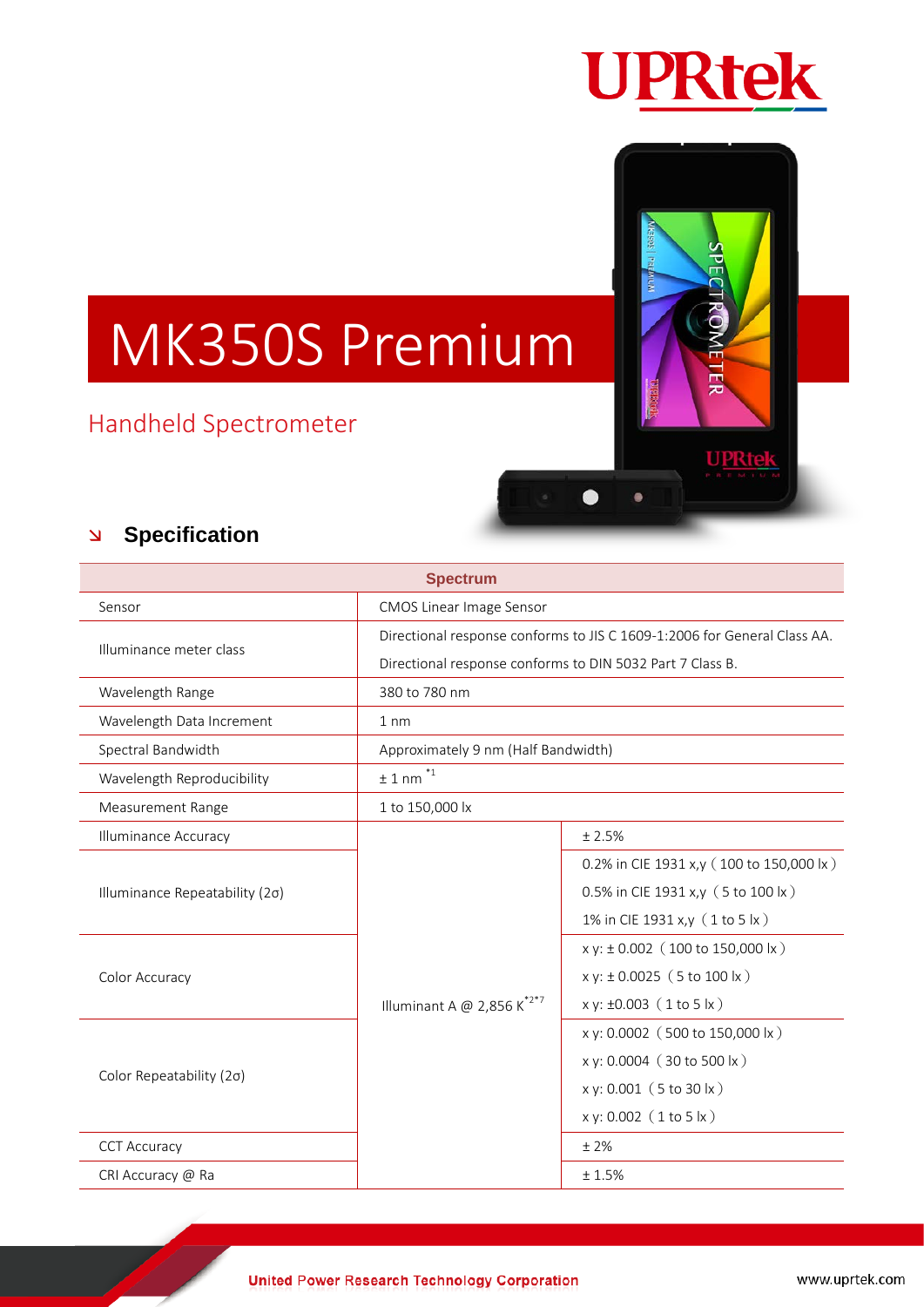

모

 $\bullet$ 

 $\bullet$ 

UPRtek

# MK350S Premium

## Handheld Spectrometer

### **Specification**

| <b>Spectrum</b>                |                                                                          |                                          |
|--------------------------------|--------------------------------------------------------------------------|------------------------------------------|
| Sensor                         | <b>CMOS Linear Image Sensor</b>                                          |                                          |
| Illuminance meter class        | Directional response conforms to JIS C 1609-1:2006 for General Class AA. |                                          |
|                                | Directional response conforms to DIN 5032 Part 7 Class B.                |                                          |
| Wavelength Range               | 380 to 780 nm                                                            |                                          |
| Wavelength Data Increment      | 1 <sub>nm</sub>                                                          |                                          |
| Spectral Bandwidth             | Approximately 9 nm (Half Bandwidth)                                      |                                          |
| Wavelength Reproducibility     | $*_{1}$<br>±1 nm                                                         |                                          |
| <b>Measurement Range</b>       | 1 to 150,000 lx                                                          |                                          |
| <b>Illuminance Accuracy</b>    | Illuminant A @ 2,856 $K^{*2*7}$                                          | ± 2.5%                                   |
| Illuminance Repeatability (2σ) |                                                                          | 0.2% in CIE 1931 x,y (100 to 150,000 lx) |
|                                |                                                                          | 0.5% in CIE 1931 x,y (5 to 100 lx)       |
|                                |                                                                          | 1% in CIE 1931 x,y (1 to 5 lx)           |
| Color Accuracy                 |                                                                          | $x y: \pm 0.002$ (100 to 150,000 lx)     |
|                                |                                                                          | $x y: \pm 0.0025$ (5 to 100 lx)          |
|                                |                                                                          | $x y: \pm 0.003$ (1 to 5 $ x$ )          |
| Color Repeatability (2σ)       |                                                                          | x y: 0.0002 (500 to 150,000 lx)          |
|                                |                                                                          | x y: 0.0004 (30 to 500 lx)               |
|                                |                                                                          | x y: 0.001 (5 to 30 lx)                  |
|                                |                                                                          | $x y: 0.002$ (1 to 5 $ x$ )              |
| <b>CCT Accuracy</b>            |                                                                          | ±2%                                      |
| CRI Accuracy @ Ra              |                                                                          | ± 1.5%                                   |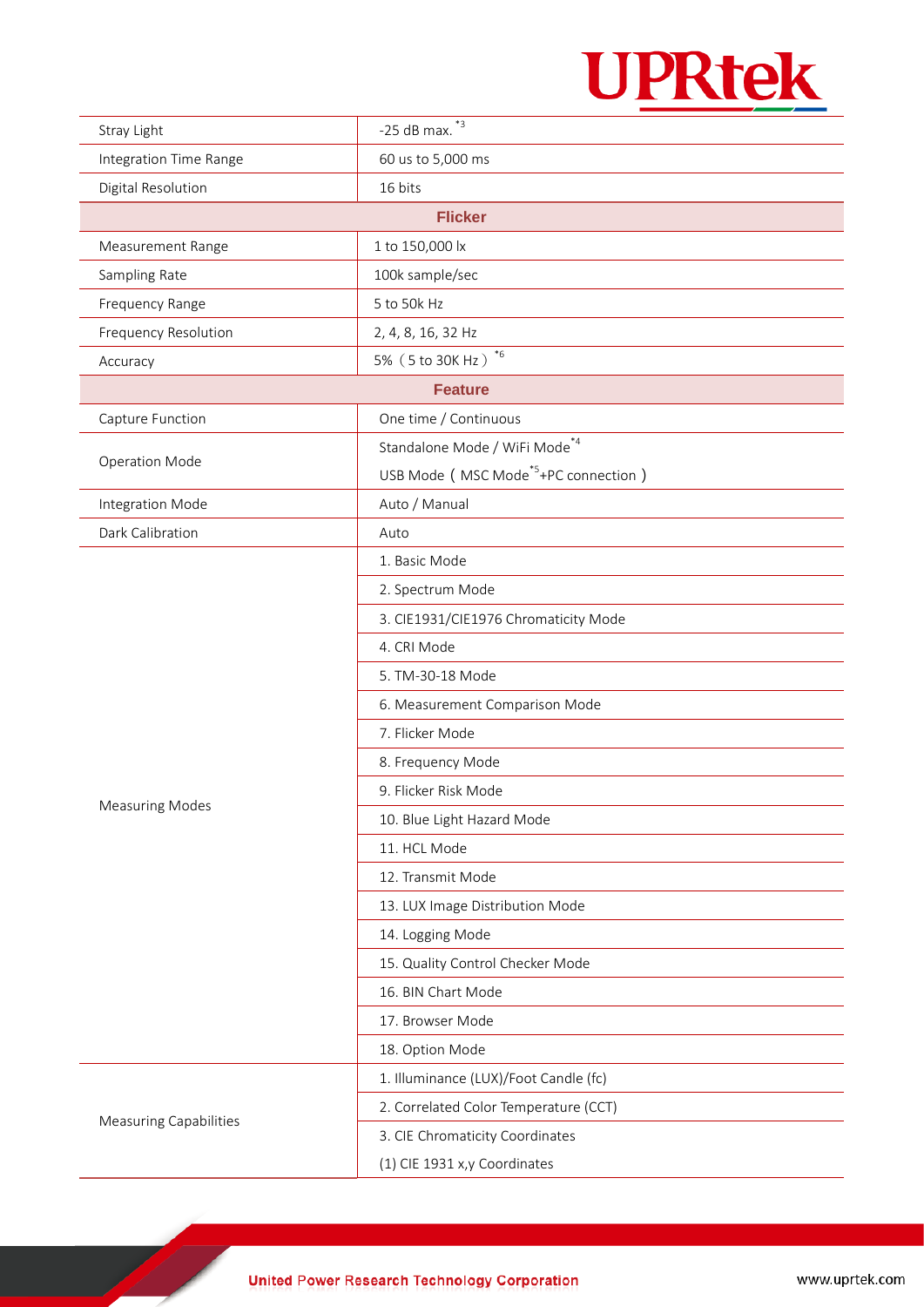

| Stray Light                   | -25 dB max. $*3$                                 |  |  |  |
|-------------------------------|--------------------------------------------------|--|--|--|
| Integration Time Range        | 60 us to 5,000 ms                                |  |  |  |
| Digital Resolution            | 16 bits                                          |  |  |  |
| <b>Flicker</b>                |                                                  |  |  |  |
| Measurement Range             | 1 to 150,000 lx                                  |  |  |  |
| Sampling Rate                 | 100k sample/sec                                  |  |  |  |
| Frequency Range               | 5 to 50k Hz                                      |  |  |  |
| <b>Frequency Resolution</b>   | 2, 4, 8, 16, 32 Hz                               |  |  |  |
| Accuracy                      | 5% (5 to 30K Hz) $*6$                            |  |  |  |
| <b>Feature</b>                |                                                  |  |  |  |
| Capture Function              | One time / Continuous                            |  |  |  |
| <b>Operation Mode</b>         | Standalone Mode / WiFi Mode <sup>*4</sup>        |  |  |  |
|                               | USB Mode (MSC Mode <sup>*5</sup> +PC connection) |  |  |  |
| Integration Mode              | Auto / Manual                                    |  |  |  |
| Dark Calibration              | Auto                                             |  |  |  |
|                               | 1. Basic Mode                                    |  |  |  |
|                               | 2. Spectrum Mode                                 |  |  |  |
|                               | 3. CIE1931/CIE1976 Chromaticity Mode             |  |  |  |
|                               | 4. CRI Mode                                      |  |  |  |
|                               | 5. TM-30-18 Mode                                 |  |  |  |
|                               | 6. Measurement Comparison Mode                   |  |  |  |
|                               | 7. Flicker Mode                                  |  |  |  |
|                               | 8. Frequency Mode                                |  |  |  |
|                               | 9. Flicker Risk Mode                             |  |  |  |
| <b>Measuring Modes</b>        | 10. Blue Light Hazard Mode                       |  |  |  |
|                               | 11. HCL Mode                                     |  |  |  |
|                               | 12. Transmit Mode                                |  |  |  |
|                               | 13. LUX Image Distribution Mode                  |  |  |  |
|                               | 14. Logging Mode                                 |  |  |  |
|                               | 15. Quality Control Checker Mode                 |  |  |  |
|                               | 16. BIN Chart Mode                               |  |  |  |
|                               | 17. Browser Mode                                 |  |  |  |
|                               | 18. Option Mode                                  |  |  |  |
| <b>Measuring Capabilities</b> | 1. Illuminance (LUX)/Foot Candle (fc)            |  |  |  |
|                               | 2. Correlated Color Temperature (CCT)            |  |  |  |
|                               | 3. CIE Chromaticity Coordinates                  |  |  |  |
|                               | (1) CIE 1931 x,y Coordinates                     |  |  |  |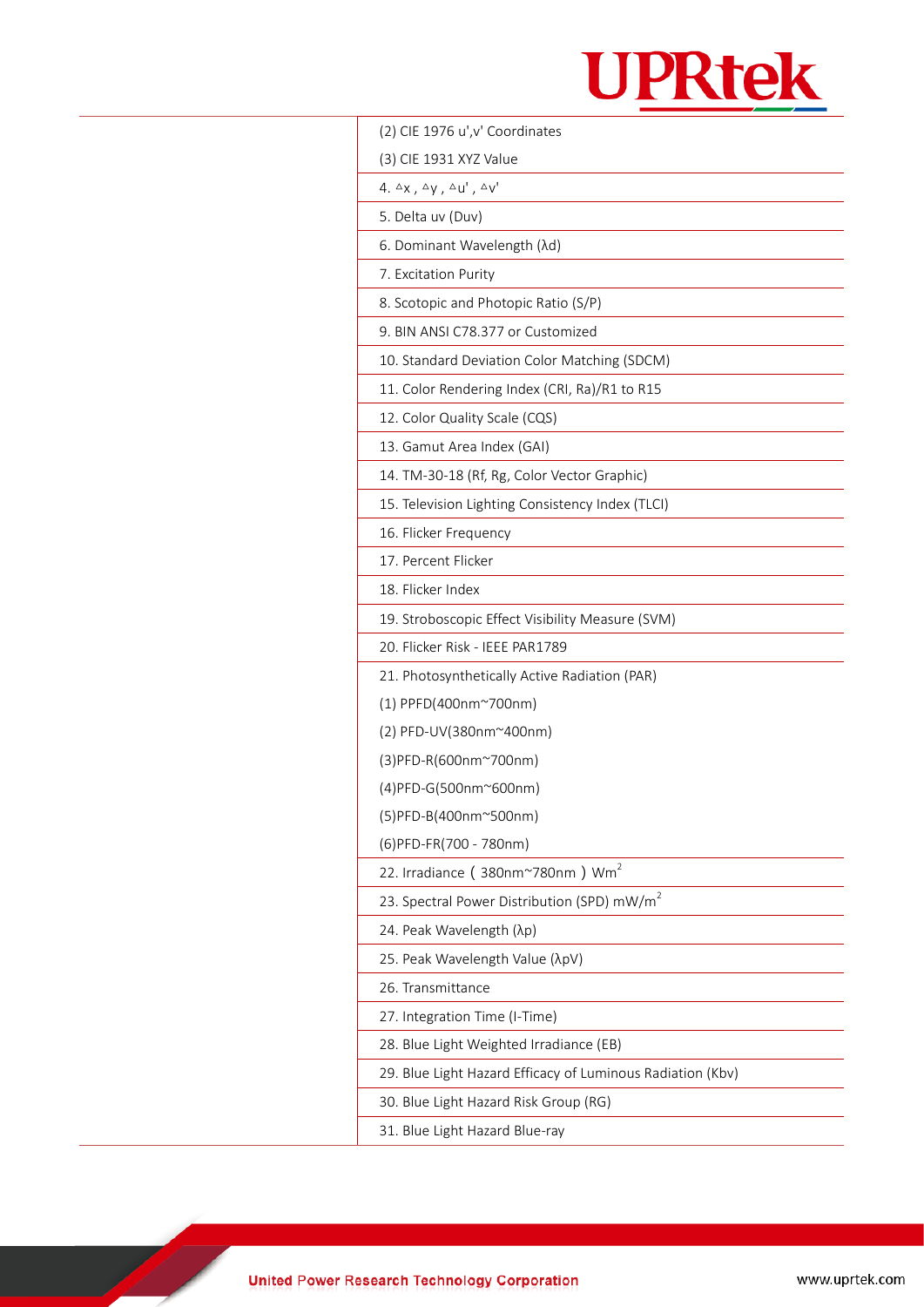

| (2) CIE 1976 u', v' Coordinates                                    |  |
|--------------------------------------------------------------------|--|
| (3) CIE 1931 XYZ Value                                             |  |
| 4. $\triangle x$ , $\triangle y$ , $\triangle u'$ , $\triangle v'$ |  |
| 5. Delta uv (Duv)                                                  |  |
| 6. Dominant Wavelength ( $\lambda$ d)                              |  |
| 7. Excitation Purity                                               |  |
| 8. Scotopic and Photopic Ratio (S/P)                               |  |
| 9. BIN ANSI C78.377 or Customized                                  |  |
| 10. Standard Deviation Color Matching (SDCM)                       |  |
| 11. Color Rendering Index (CRI, Ra)/R1 to R15                      |  |
| 12. Color Quality Scale (CQS)                                      |  |
| 13. Gamut Area Index (GAI)                                         |  |
| 14. TM-30-18 (Rf, Rg, Color Vector Graphic)                        |  |
| 15. Television Lighting Consistency Index (TLCI)                   |  |
| 16. Flicker Frequency                                              |  |
| 17. Percent Flicker                                                |  |
| 18. Flicker Index                                                  |  |
| 19. Stroboscopic Effect Visibility Measure (SVM)                   |  |
| 20. Flicker Risk - IEEE PAR1789                                    |  |
| 21. Photosynthetically Active Radiation (PAR)                      |  |
| (1) PPFD(400nm~700nm)                                              |  |
| (2) PFD-UV(380nm~400nm)                                            |  |
| (3) PFD-R(600nm~700nm)                                             |  |
| (4) PFD-G(500nm~600nm)                                             |  |
| (5) PFD-B(400nm~500nm)                                             |  |
| (6) PFD-FR(700 - 780nm)                                            |  |
| 22. Irradiance (380nm~780nm) Wm <sup>2</sup>                       |  |
| 23. Spectral Power Distribution (SPD) mW/m <sup>2</sup>            |  |
| 24. Peak Wavelength (λp)                                           |  |
| 25. Peak Wavelength Value (λpV)                                    |  |
| 26. Transmittance                                                  |  |
| 27. Integration Time (I-Time)                                      |  |
| 28. Blue Light Weighted Irradiance (EB)                            |  |
| 29. Blue Light Hazard Efficacy of Luminous Radiation (Kbv)         |  |
| 30. Blue Light Hazard Risk Group (RG)                              |  |
| 31. Blue Light Hazard Blue-ray                                     |  |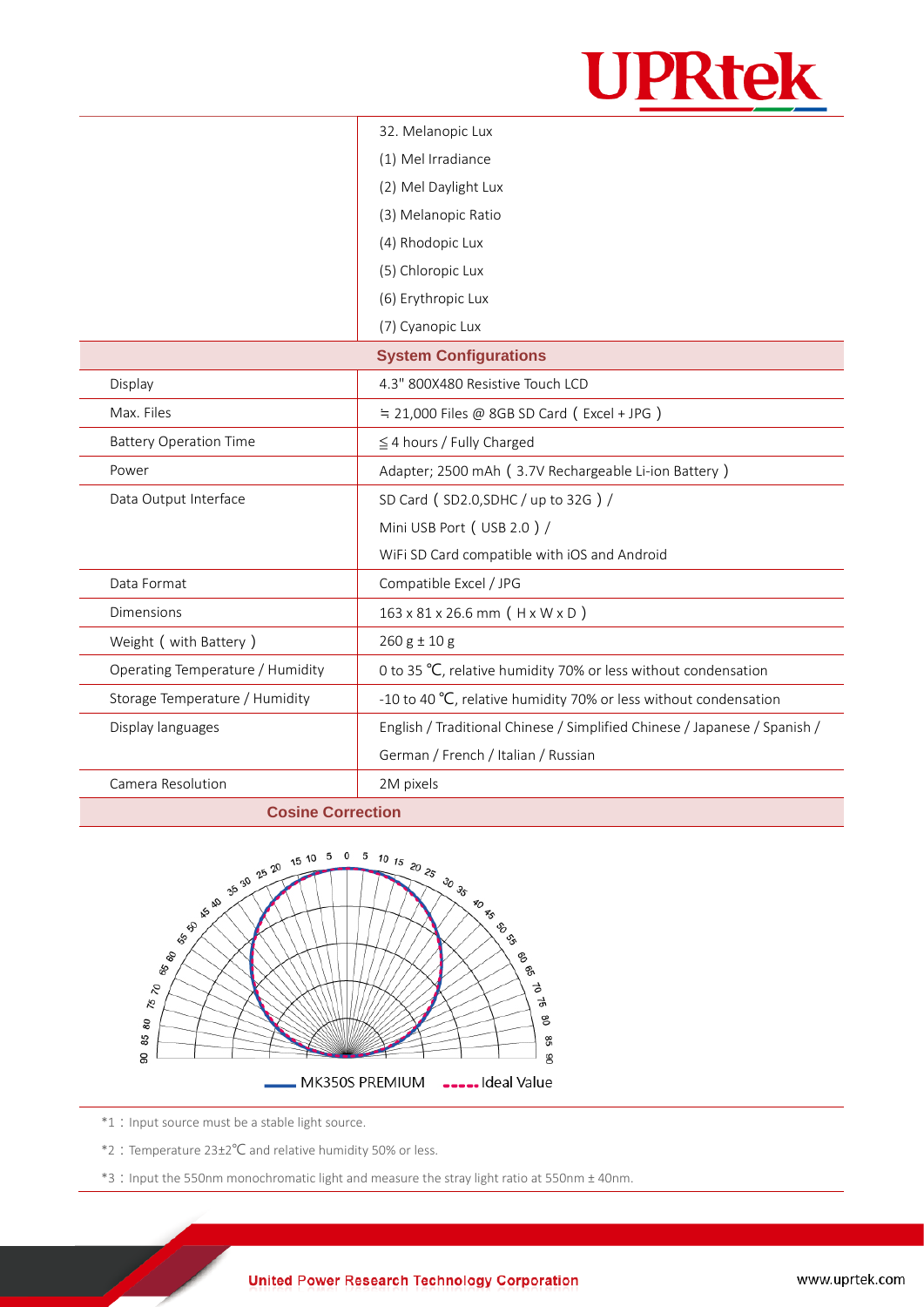

|                                  | 32. Melanopic Lux                                                         |  |
|----------------------------------|---------------------------------------------------------------------------|--|
|                                  | (1) Mel Irradiance                                                        |  |
|                                  | (2) Mel Daylight Lux                                                      |  |
|                                  | (3) Melanopic Ratio                                                       |  |
|                                  | (4) Rhodopic Lux                                                          |  |
|                                  | (5) Chloropic Lux                                                         |  |
|                                  | (6) Erythropic Lux                                                        |  |
|                                  | (7) Cyanopic Lux                                                          |  |
| <b>System Configurations</b>     |                                                                           |  |
| Display                          | 4.3" 800X480 Resistive Touch LCD                                          |  |
| Max. Files                       | $\div$ 21,000 Files @ 8GB SD Card (Excel + JPG)                           |  |
| <b>Battery Operation Time</b>    | $\leq$ 4 hours / Fully Charged                                            |  |
| Power                            | Adapter; 2500 mAh (3.7V Rechargeable Li-ion Battery)                      |  |
| Data Output Interface            | SD Card (SD2.0, SDHC / up to 32G) /                                       |  |
|                                  | Mini USB Port (USB 2.0) /                                                 |  |
|                                  | WiFi SD Card compatible with iOS and Android                              |  |
| Data Format                      | Compatible Excel / JPG                                                    |  |
| <b>Dimensions</b>                | $163 \times 81 \times 26.6$ mm (H x W x D)                                |  |
| Weight ( with Battery )          | $260 g \pm 10 g$                                                          |  |
| Operating Temperature / Humidity | 0 to 35 °C, relative humidity 70% or less without condensation            |  |
| Storage Temperature / Humidity   | -10 to 40 °C, relative humidity 70% or less without condensation          |  |
| Display languages                | English / Traditional Chinese / Simplified Chinese / Japanese / Spanish / |  |
|                                  | German / French / Italian / Russian                                       |  |
| Camera Resolution                | 2M pixels                                                                 |  |
|                                  |                                                                           |  |



\*1 : Input source must be a stable light source.

\*2:Temperature 23±2℃ and relative humidity 50% or less.

\*3:Input the 550nm monochromatic light and measure the stray light ratio at 550nm ± 40nm.

#### **United Power Research Technology Corporation**